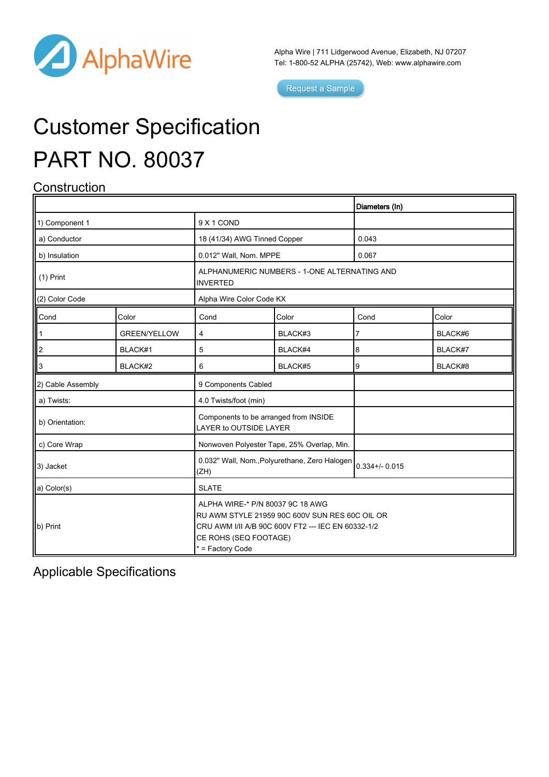

Alpha Wire | 711 Lidgerwood Avenue, Elizabeth, NJ 07207 Tel: 1-800-52 ALPHA (25742), Web: [www.alphawire.com](http://www.alphawire.com)

Request a Sample

# Customer Specification PART NO. 80037

### **Construction**

|                   |                     |                                                                                                                                                                                       |         | Diameters (In)  |         |
|-------------------|---------------------|---------------------------------------------------------------------------------------------------------------------------------------------------------------------------------------|---------|-----------------|---------|
| 1) Component 1    |                     | 9 X 1 COND                                                                                                                                                                            |         |                 |         |
| a) Conductor      |                     | 18 (41/34) AWG Tinned Copper                                                                                                                                                          |         | 0.043           |         |
| b) Insulation     |                     | 0.012" Wall, Nom. MPPE                                                                                                                                                                |         | 0.067           |         |
| $(1)$ Print       |                     | ALPHANUMERIC NUMBERS - 1-ONE ALTERNATING AND<br><b>INVERTED</b>                                                                                                                       |         |                 |         |
| (2) Color Code    |                     | Alpha Wire Color Code KX                                                                                                                                                              |         |                 |         |
| Cond              | Color               | Cond                                                                                                                                                                                  | Color   | Cond            | Color   |
|                   | <b>GREEN/YELLOW</b> | 4                                                                                                                                                                                     | BLACK#3 | 7               | BLACK#6 |
| $\overline{2}$    | BLACK#1             | 5                                                                                                                                                                                     | BLACK#4 | 8               | BLACK#7 |
| 3                 | BLACK#2             | 6                                                                                                                                                                                     | BLACK#5 | 9               | BLACK#8 |
| 2) Cable Assembly |                     | 9 Components Cabled                                                                                                                                                                   |         |                 |         |
| a) Twists:        |                     | 4.0 Twists/foot (min)                                                                                                                                                                 |         |                 |         |
| b) Orientation:   |                     | Components to be arranged from INSIDE<br>LAYER to OUTSIDE LAYER                                                                                                                       |         |                 |         |
| c) Core Wrap      |                     | Nonwoven Polyester Tape, 25% Overlap, Min.                                                                                                                                            |         |                 |         |
| 3) Jacket         |                     | 0.032" Wall, Nom., Polyurethane, Zero Halogen<br>(ZH)                                                                                                                                 |         | $0.334 + 0.015$ |         |
| a) Color(s)       |                     | <b>SLATE</b>                                                                                                                                                                          |         |                 |         |
| b) Print          |                     | ALPHA WIRE-* P/N 80037 9C 18 AWG<br>RU AWM STYLE 21959 90C 600V SUN RES 60C OIL OR<br>CRU AWM I/II A/B 90C 600V FT2 --- IEC EN 60332-1/2<br>CE ROHS (SEQ FOOTAGE)<br>* = Factory Code |         |                 |         |

Applicable Specifications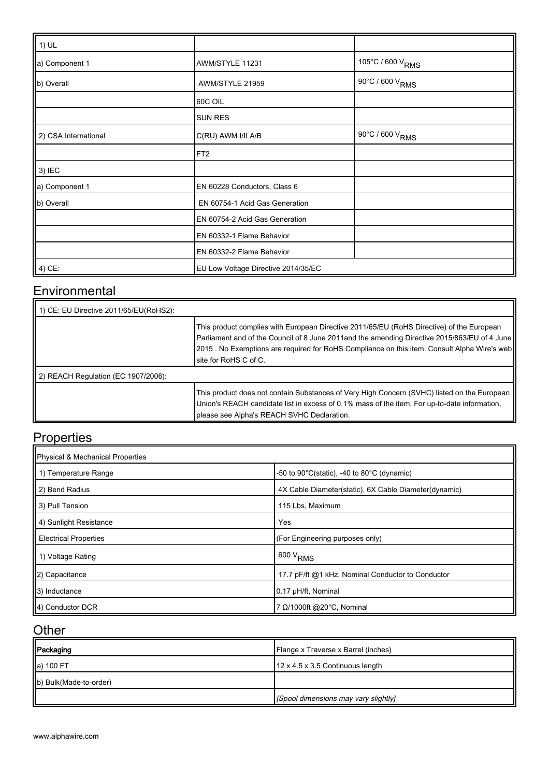| $\parallel$ 1) UL    |                                     |                              |
|----------------------|-------------------------------------|------------------------------|
| a) Component 1       | AWM/STYLE 11231                     | 105°C / 600 V <sub>RMS</sub> |
| b) Overall           | AWM/STYLE 21959                     | 90°C / 600 V <sub>RMS</sub>  |
|                      | 60C OIL                             |                              |
|                      | <b>SUN RES</b>                      |                              |
| 2) CSA International | C(RU) AWM I/II A/B                  | 90°C / 600 V <sub>RMS</sub>  |
|                      | FT <sub>2</sub>                     |                              |
| $3)$ IEC             |                                     |                              |
| a) Component 1       | EN 60228 Conductors, Class 6        |                              |
| b) Overall           | EN 60754-1 Acid Gas Generation      |                              |
|                      | EN 60754-2 Acid Gas Generation      |                              |
|                      | EN 60332-1 Flame Behavior           |                              |
|                      | EN 60332-2 Flame Behavior           |                              |
| $\vert$ 4) CE:       | EU Low Voltage Directive 2014/35/EC |                              |

#### **Environmental**

| 1) CE: EU Directive 2011/65/EU(RoHS2): |                                                                                                                                                                                                                                                                                                                       |  |  |
|----------------------------------------|-----------------------------------------------------------------------------------------------------------------------------------------------------------------------------------------------------------------------------------------------------------------------------------------------------------------------|--|--|
|                                        | This product complies with European Directive 2011/65/EU (RoHS Directive) of the European<br>Parliament and of the Council of 8 June 2011and the amending Directive 2015/863/EU of 4 June<br>[2015 . No Exemptions are required for RoHS Compliance on this item. Consult Alpha Wire's web]<br>Isite for RoHS C of C. |  |  |
| 2) REACH Regulation (EC 1907/2006):    |                                                                                                                                                                                                                                                                                                                       |  |  |
|                                        | This product does not contain Substances of Very High Concern (SVHC) listed on the European<br>Union's REACH candidate list in excess of 0.1% mass of the item. For up-to-date information,<br>please see Alpha's REACH SVHC Declaration.                                                                             |  |  |

# **Properties**

| Physical & Mechanical Properties |                                                                |  |  |  |
|----------------------------------|----------------------------------------------------------------|--|--|--|
| 1 1) Temperature Range           | -50 to $90^{\circ}$ C(static), -40 to $80^{\circ}$ C (dynamic) |  |  |  |
| 2) Bend Radius                   | 4X Cable Diameter(static), 6X Cable Diameter(dynamic)          |  |  |  |
| 3) Pull Tension                  | 115 Lbs, Maximum                                               |  |  |  |
| 4) Sunlight Resistance           | Yes                                                            |  |  |  |
| <b>Electrical Properties</b>     | (For Engineering purposes only)                                |  |  |  |
| 1) Voltage Rating                | $600 V_{RMS}$                                                  |  |  |  |
| 2) Capacitance                   | 17.7 pF/ft @1 kHz, Nominal Conductor to Conductor              |  |  |  |
| 3) Inductance                    | 0.17 µH/ft, Nominal                                            |  |  |  |
| 4) Conductor DCR                 | 7 Ω/1000ft @20°C, Nominal                                      |  |  |  |

#### **Other**

| Packaging              | Flange x Traverse x Barrel (inches)  |
|------------------------|--------------------------------------|
| a) 100 FT              | 12 x 4.5 x 3.5 Continuous length     |
| b) Bulk(Made-to-order) |                                      |
|                        | [Spool dimensions may vary slightly] |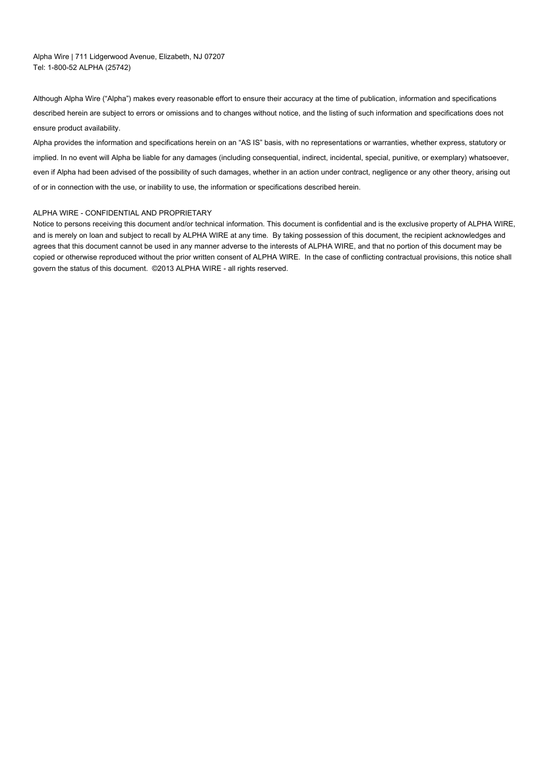Alpha Wire | 711 Lidgerwood Avenue, Elizabeth, NJ 07207 Tel: 1-800-52 ALPHA (25742)

Although Alpha Wire ("Alpha") makes every reasonable effort to ensure their accuracy at the time of publication, information and specifications described herein are subject to errors or omissions and to changes without notice, and the listing of such information and specifications does not ensure product availability.

Alpha provides the information and specifications herein on an "AS IS" basis, with no representations or warranties, whether express, statutory or implied. In no event will Alpha be liable for any damages (including consequential, indirect, incidental, special, punitive, or exemplary) whatsoever, even if Alpha had been advised of the possibility of such damages, whether in an action under contract, negligence or any other theory, arising out of or in connection with the use, or inability to use, the information or specifications described herein.

#### ALPHA WIRE - CONFIDENTIAL AND PROPRIETARY

Notice to persons receiving this document and/or technical information. This document is confidential and is the exclusive property of ALPHA WIRE, and is merely on loan and subject to recall by ALPHA WIRE at any time. By taking possession of this document, the recipient acknowledges and agrees that this document cannot be used in any manner adverse to the interests of ALPHA WIRE, and that no portion of this document may be copied or otherwise reproduced without the prior written consent of ALPHA WIRE. In the case of conflicting contractual provisions, this notice shall govern the status of this document. ©2013 ALPHA WIRE - all rights reserved.